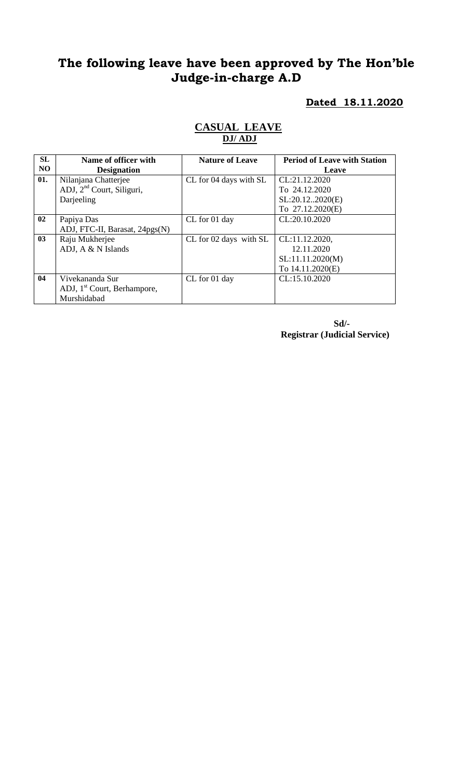# **The following leave have been approved by The Hon'ble Judge-in-charge A.D**

#### **Dated 18.11.2020**

#### **CASUAL LEAVE DJ/ ADJ**

| SL             | Name of officer with                    | <b>Nature of Leave</b> | <b>Period of Leave with Station</b> |
|----------------|-----------------------------------------|------------------------|-------------------------------------|
| NO             | <b>Designation</b>                      |                        | Leave                               |
| 01.            | Nilanjana Chatterjee                    | CL for 04 days with SL | CL:21.12.2020                       |
|                | ADJ, 2 <sup>nd</sup> Court, Siliguri,   |                        | To 24.12.2020                       |
|                | Darjeeling                              |                        | SL:20.122020(E)                     |
|                |                                         |                        | To 27.12.2020(E)                    |
| 02             | Papiya Das                              | CL for 01 day          | CL:20.10.2020                       |
|                | ADJ, FTC-II, Barasat, 24pgs(N)          |                        |                                     |
| 0 <sub>3</sub> | Raju Mukherjee                          | CL for 02 days with SL | CL:11.12.2020,                      |
|                | ADJ, A $&$ N Islands                    |                        | 12.11.2020                          |
|                |                                         |                        | SL:11.11.2020(M)                    |
|                |                                         |                        | To 14.11.2020(E)                    |
| 04             | Vivekananda Sur                         | CL for 01 day          | CL:15.10.2020                       |
|                | ADJ, 1 <sup>st</sup> Court, Berhampore, |                        |                                     |
|                | Murshidabad                             |                        |                                     |

**Sd/- Registrar (Judicial Service)**